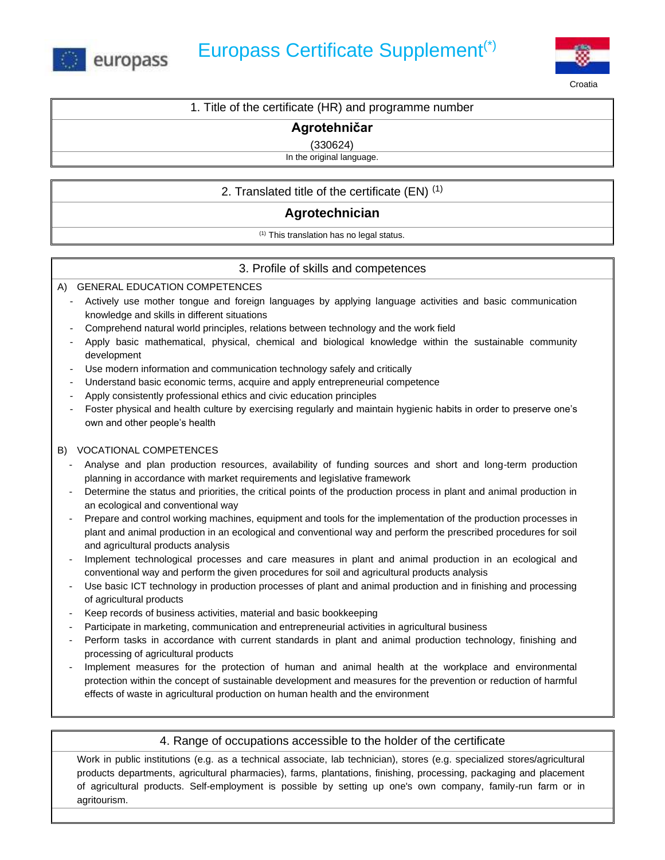



1. Title of the certificate (HR) and programme number

**Agrotehničar** 

(330624)

In the original language.

2. Translated title of the certificate (EN)  $(1)$ 

# **Agrotechnician**

 $(1)$  This translation has no legal status.

## 3. Profile of skills and competences

### A) GENERAL EDUCATION COMPETENCES

- Actively use mother tongue and foreign languages by applying language activities and basic communication knowledge and skills in different situations
- Comprehend natural world principles, relations between technology and the work field
- Apply basic mathematical, physical, chemical and biological knowledge within the sustainable community development
- Use modern information and communication technology safely and critically
- Understand basic economic terms, acquire and apply entrepreneurial competence
- Apply consistently professional ethics and civic education principles
- Foster physical and health culture by exercising regularly and maintain hygienic habits in order to preserve one's own and other people's health

### B) VOCATIONAL COMPETENCES

- Analyse and plan production resources, availability of funding sources and short and long-term production planning in accordance with market requirements and legislative framework
- Determine the status and priorities, the critical points of the production process in plant and animal production in an ecological and conventional way
- Prepare and control working machines, equipment and tools for the implementation of the production processes in plant and animal production in an ecological and conventional way and perform the prescribed procedures for soil and agricultural products analysis
- Implement technological processes and care measures in plant and animal production in an ecological and conventional way and perform the given procedures for soil and agricultural products analysis
- Use basic ICT technology in production processes of plant and animal production and in finishing and processing of agricultural products
- Keep records of business activities, material and basic bookkeeping
- Participate in marketing, communication and entrepreneurial activities in agricultural business
- Perform tasks in accordance with current standards in plant and animal production technology, finishing and processing of agricultural products
- Implement measures for the protection of human and animal health at the workplace and environmental protection within the concept of sustainable development and measures for the prevention or reduction of harmful effects of waste in agricultural production on human health and the environment

### 4. Range of occupations accessible to the holder of the certificate

Work in public institutions (e.g. as a technical associate, lab technician), stores (e.g. specialized stores/agricultural products departments, agricultural pharmacies), farms, plantations, finishing, processing, packaging and placement of agricultural products. Self-employment is possible by setting up one's own company, family-run farm or in agritourism.